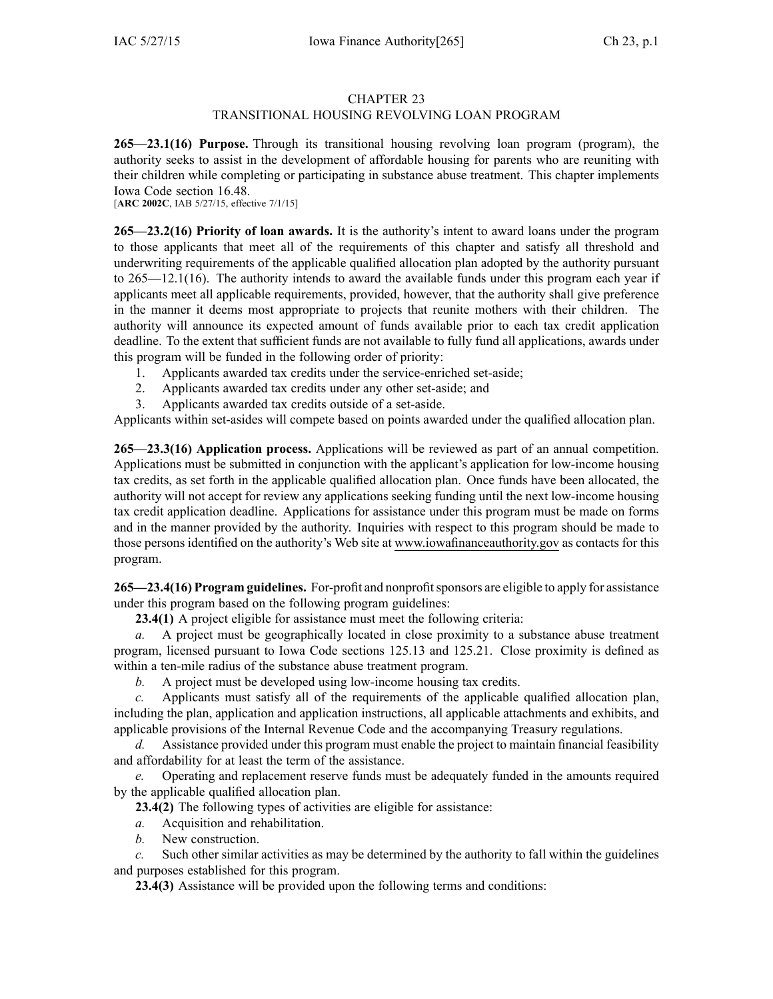## CHAPTER 23

## TRANSITIONAL HOUSING REVOLVING LOAN PROGRAM

**265—23.1(16) Purpose.** Through its transitional housing revolving loan program (program), the authority seeks to assist in the development of affordable housing for parents who are reuniting with their children while completing or participating in substance abuse treatment. This chapter implements Iowa Code section [16.48](https://www.legis.iowa.gov/docs/ico/section/16.48.pdf).

[**ARC 2002C**, IAB 5/27/15, effective 7/1/15]

**265—23.2(16) Priority of loan awards.** It is the authority's intent to award loans under the program to those applicants that meet all of the requirements of this chapter and satisfy all threshold and underwriting requirements of the applicable qualified allocation plan adopted by the authority pursuan<sup>t</sup> to 265—12.1(16). The authority intends to award the available funds under this program each year if applicants meet all applicable requirements, provided, however, that the authority shall give preference in the manner it deems most appropriate to projects that reunite mothers with their children. The authority will announce its expected amount of funds available prior to each tax credit application deadline. To the extent that sufficient funds are not available to fully fund all applications, awards under this program will be funded in the following order of priority:

- 1. Applicants awarded tax credits under the service-enriched set-aside;
- 2. Applicants awarded tax credits under any other set-aside; and
- 3. Applicants awarded tax credits outside of <sup>a</sup> set-aside.

Applicants within set-asides will compete based on points awarded under the qualified allocation plan.

**265—23.3(16) Application process.** Applications will be reviewed as par<sup>t</sup> of an annual competition. Applications must be submitted in conjunction with the applicant's application for low-income housing tax credits, as set forth in the applicable qualified allocation plan. Once funds have been allocated, the authority will not accep<sup>t</sup> for review any applications seeking funding until the next low-income housing tax credit application deadline. Applications for assistance under this program must be made on forms and in the manner provided by the authority. Inquiries with respec<sup>t</sup> to this program should be made to those persons identified on the authority's Web site at www.iowafinanceauthority.gov as contacts for this program.

**265—23.4(16) Program guidelines.** For-profit and nonprofitsponsors are eligible to apply for assistance under this program based on the following program guidelines:

**23.4(1)** A project eligible for assistance must meet the following criteria:

*a.* A project must be geographically located in close proximity to <sup>a</sup> substance abuse treatment program, licensed pursuan<sup>t</sup> to Iowa Code sections [125.13](https://www.legis.iowa.gov/docs/ico/section/125.13.pdf) and [125.21](https://www.legis.iowa.gov/docs/ico/section/125.21.pdf). Close proximity is defined as within <sup>a</sup> ten-mile radius of the substance abuse treatment program.

*b.* A project must be developed using low-income housing tax credits.

*c.* Applicants must satisfy all of the requirements of the applicable qualified allocation plan, including the plan, application and application instructions, all applicable attachments and exhibits, and applicable provisions of the Internal Revenue Code and the accompanying Treasury regulations.

*d.* Assistance provided under this program must enable the project to maintain financial feasibility and affordability for at least the term of the assistance.

*e.* Operating and replacement reserve funds must be adequately funded in the amounts required by the applicable qualified allocation plan.

**23.4(2)** The following types of activities are eligible for assistance:

- *a.* Acquisition and rehabilitation.
- *b.* New construction.

*c.* Such other similar activities as may be determined by the authority to fall within the guidelines and purposes established for this program.

**23.4(3)** Assistance will be provided upon the following terms and conditions: